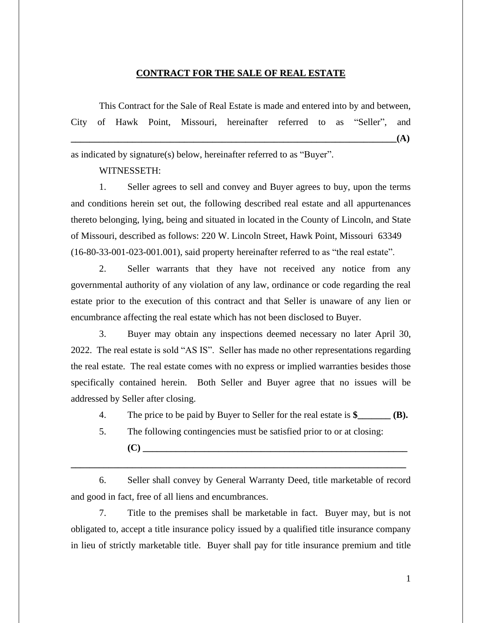## **CONTRACT FOR THE SALE OF REAL ESTATE**

This Contract for the Sale of Real Estate is made and entered into by and between, City of Hawk Point, Missouri, hereinafter referred to as "Seller", and **\_\_\_\_\_\_\_\_\_\_\_\_\_\_\_\_\_\_\_\_\_\_\_\_\_\_\_\_\_\_\_\_\_\_\_\_\_\_\_\_\_\_\_\_\_\_\_\_\_\_\_\_\_\_\_\_\_\_\_\_\_\_\_\_\_\_\_\_\_(A)**

as indicated by signature(s) below, hereinafter referred to as "Buyer".

WITNESSETH:

1. Seller agrees to sell and convey and Buyer agrees to buy, upon the terms and conditions herein set out, the following described real estate and all appurtenances thereto belonging, lying, being and situated in located in the County of Lincoln, and State of Missouri, described as follows: 220 W. Lincoln Street, Hawk Point, Missouri 63349 (16-80-33-001-023-001.001), said property hereinafter referred to as "the real estate".

2. Seller warrants that they have not received any notice from any governmental authority of any violation of any law, ordinance or code regarding the real estate prior to the execution of this contract and that Seller is unaware of any lien or encumbrance affecting the real estate which has not been disclosed to Buyer.

3. Buyer may obtain any inspections deemed necessary no later April 30, 2022. The real estate is sold "AS IS". Seller has made no other representations regarding the real estate. The real estate comes with no express or implied warranties besides those specifically contained herein. Both Seller and Buyer agree that no issues will be addressed by Seller after closing.

4. The price to be paid by Buyer to Seller for the real estate is **\$\_\_\_\_\_\_\_ (B).**

5. The following contingencies must be satisfied prior to or at closing: **(C) \_\_\_\_\_\_\_\_\_\_\_\_\_\_\_\_\_\_\_\_\_\_\_\_\_\_\_\_\_\_\_\_\_\_\_\_\_\_\_\_\_\_\_\_\_\_\_\_\_\_\_\_\_\_\_\_**

6. Seller shall convey by General Warranty Deed, title marketable of record and good in fact, free of all liens and encumbrances.

**\_\_\_\_\_\_\_\_\_\_\_\_\_\_\_\_\_\_\_\_\_\_\_\_\_\_\_\_\_\_\_\_\_\_\_\_\_\_\_\_\_\_\_\_\_\_\_\_\_\_\_\_\_\_\_\_\_\_\_\_\_\_\_\_\_\_\_\_\_\_\_**

7. Title to the premises shall be marketable in fact. Buyer may, but is not obligated to, accept a title insurance policy issued by a qualified title insurance company in lieu of strictly marketable title. Buyer shall pay for title insurance premium and title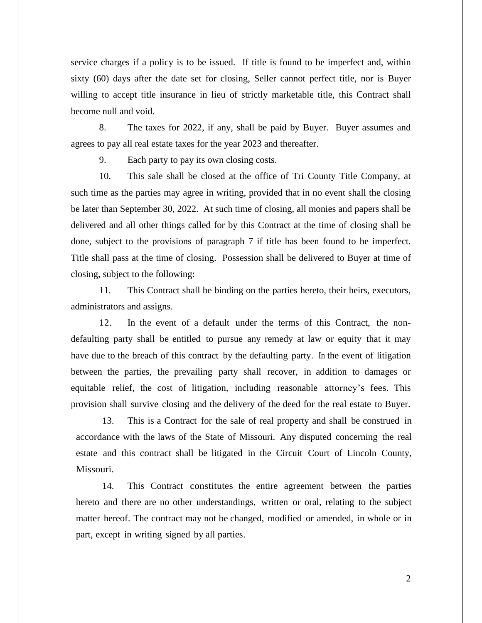service charges if a policy is to be issued. If title is found to be imperfect and, within sixty (60) days after the date set for closing, Seller cannot perfect title, nor is Buyer willing to accept title insurance in lieu of strictly marketable title, this Contract shall become null and void.

8. The taxes for 2022, if any, shall be paid by Buyer. Buyer assumes and agrees to pay all real estate taxes for the year 2023 and thereafter.

9. Each party to pay its own closing costs.

10. This sale shall be closed at the office of Tri County Title Company, at such time as the parties may agree in writing, provided that in no event shall the closing be later than September 30, 2022. At such time of closing, all monies and papers shall be delivered and all other things called for by this Contract at the time of closing shall be done, subject to the provisions of paragraph 7 if title has been found to be imperfect. Title shall pass at the time of closing. Possession shall be delivered to Buyer at time of closing, subject to the following:

11. This Contract shall be binding on the parties hereto, their heirs, executors, administrators and assigns.

12. In the event of a default under the terms of this Contract, the nondefaulting party shall be entitled to pursue any remedy at law or equity that it may have due to the breach of this contract by the defaulting party. In the event of litigation between the parties, the prevailing party shall recover, in addition to damages or equitable relief, the cost of litigation, including reasonable attorney's fees. This provision shall survive closing and the delivery of the deed for the real estate to Buyer.

13. This is a Contract for the sale of real property and shall be construed in accordance with the laws of the State of Missouri. Any disputed concerning the real estate and this contract shall be litigated in the Circuit Court of Lincoln County, Missouri.

14. This Contract constitutes the entire agreement between the parties hereto and there are no other understandings, written or oral, relating to the subject matter hereof. The contract may not be changed, modified or amended, in whole or in part, except in writing signed by all parties.